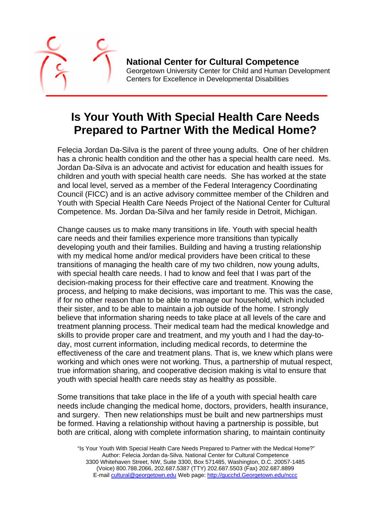

**National Center for Cultural Competence** Georgetown University Center for Child and Human Development Centers for Excellence in Developmental Disabilities

## **Is Your Youth With Special Health Care Needs Prepared to Partner With the Medical Home?**

Felecia Jordan Da-Silva is the parent of three young adults. One of her children has a chronic health condition and the other has a special health care need. Ms. Jordan Da-Silva is an advocate and activist for education and health issues for children and youth with special health care needs. She has worked at the state and local level, served as a member of the Federal Interagency Coordinating Council (FICC) and is an active advisory committee member of the Children and Youth with Special Health Care Needs Project of the National Center for Cultural Competence. Ms. Jordan Da-Silva and her family reside in Detroit, Michigan.

Change causes us to make many transitions in life. Youth with special health care needs and their families experience more transitions than typically developing youth and their families. Building and having a trusting relationship with my medical home and/or medical providers have been critical to these transitions of managing the health care of my two children, now young adults, with special health care needs. I had to know and feel that I was part of the decision-making process for their effective care and treatment. Knowing the process, and helping to make decisions, was important to me. This was the case, if for no other reason than to be able to manage our household, which included their sister, and to be able to maintain a job outside of the home. I strongly believe that information sharing needs to take place at all levels of the care and treatment planning process. Their medical team had the medical knowledge and skills to provide proper care and treatment, and my youth and I had the day-today, most current information, including medical records, to determine the effectiveness of the care and treatment plans. That is, we knew which plans were working and which ones were not working. Thus, a partnership of mutual respect, true information sharing, and cooperative decision making is vital to ensure that youth with special health care needs stay as healthy as possible.

Some transitions that take place in the life of a youth with special health care needs include changing the medical home, doctors, providers, health insurance, and surgery. Then new relationships must be built and new partnerships must be formed. Having a relationship without having a partnership is possible, but both are critical, along with complete information sharing, to maintain continuity

 "Is Your Youth With Special Health Care Needs Prepared to Partner with the Medical Home?" Author: Felecia Jordan da-Silva. National Center for Cultural Competence 3300 Whitehaven Street, NW, Suite 3300, Box 571485, Washington, D.C. 20057-1485 (Voice) 800.788.2066, 202.687.5387 (TTY) 202.687.5503 (Fax) 202.687.8899 E-mail cultural@georgetown.edu Web page: http://gucchd.Georgetown.edu/nccc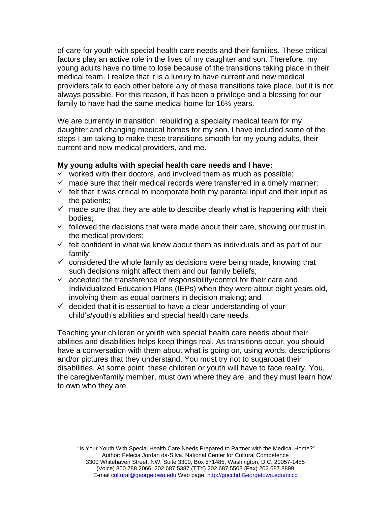of care for youth with special health care needs and their families. These critical factors play an active role in the lives of my daughter and son. Therefore, my young adults have no time to lose because of the transitions taking place in their medical team. I realize that it is a luxury to have current and new medical providers talk to each other before any of these transitions take place, but it is not always possible. For this reason, it has been a privilege and a blessing for our family to have had the same medical home for 16½ years.

We are currently in transition, rebuilding a specialty medical team for my daughter and changing medical homes for my son. I have included some of the steps I am taking to make these transitions smooth for my young adults, their current and new medical providers, and me.

## **My young adults with special health care needs and I have:**

- $\checkmark$  worked with their doctors, and involved them as much as possible;
- $\checkmark$  made sure that their medical records were transferred in a timely manner;
- $\checkmark$  felt that it was critical to incorporate both my parental input and their input as the patients;
- $\checkmark$  made sure that they are able to describe clearly what is happening with their bodies;
- $\checkmark$  followed the decisions that were made about their care, showing our trust in the medical providers;
- $\checkmark$  felt confident in what we knew about them as individuals and as part of our family;
- $\checkmark$  considered the whole family as decisions were being made, knowing that such decisions might affect them and our family beliefs;
- $\checkmark$  accepted the transference of responsibility/control for their care and Individualized Education Plans (IEPs) when they were about eight years old, involving them as equal partners in decision making; and
- $\checkmark$  decided that it is essential to have a clear understanding of your child's/youth's abilities and special health care needs.

Teaching your children or youth with special health care needs about their abilities and disabilities helps keep things real. As transitions occur, you should have a conversation with them about what is going on, using words, descriptions, and/or pictures that they understand. You must try not to sugarcoat their disabilities. At some point, these children or youth will have to face reality. You, the caregiver/family member, must own where they are, and they must learn how to own who they are.

 "Is Your Youth With Special Health Care Needs Prepared to Partner with the Medical Home?" Author: Felecia Jordan da-Silva. National Center for Cultural Competence 3300 Whitehaven Street, NW, Suite 3300, Box 571485, Washington, D.C. 20057-1485 (Voice) 800.788.2066, 202.687.5387 (TTY) 202.687.5503 (Fax) 202.687.8899 E-mail cultural@georgetown.edu Web page: http://gucchd.Georgetown.edu/nccc